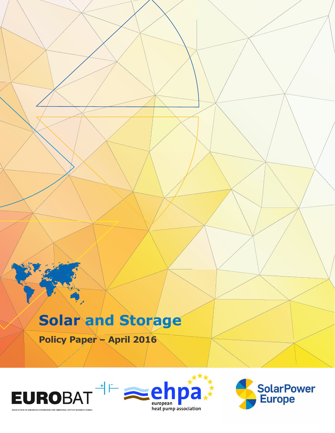# **Solar and Storage**

**Policy Paper – April 2016**





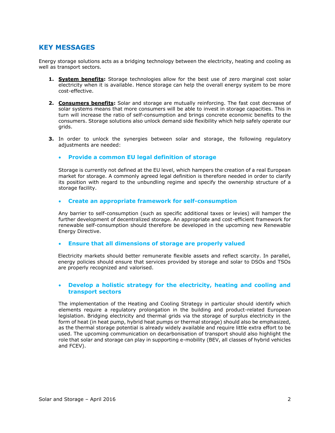## **KEY MESSAGES**

Energy storage solutions acts as a bridging technology between the electricity, heating and cooling as well as transport sectors.

- **1. System benefits:** Storage technologies allow for the best use of zero marginal cost solar electricity when it is available. Hence storage can help the overall energy system to be more cost-effective.
- **2. Consumers benefits:** Solar and storage are mutually reinforcing. The fast cost decrease of solar systems means that more consumers will be able to invest in storage capacities. This in turn will increase the ratio of self-consumption and brings concrete economic benefits to the consumers. Storage solutions also unlock demand side flexibility which help safely operate our grids.
- **3.** In order to unlock the synergies between solar and storage, the following regulatory adjustments are needed:

## **Provide a common EU legal definition of storage**

Storage is currently not defined at the EU level, which hampers the creation of a real European market for storage. A commonly agreed legal definition is therefore needed in order to clarify its position with regard to the unbundling regime and specify the ownership structure of a storage facility.

## **Create an appropriate framework for self-consumption**

Any barrier to self-consumption (such as specific additional taxes or levies) will hamper the further development of decentralized storage. An appropriate and cost-efficient framework for renewable self-consumption should therefore be developed in the upcoming new Renewable Energy Directive.

#### **Ensure that all dimensions of storage are properly valued**

Electricity markets should better remunerate flexible assets and reflect scarcity. In parallel, energy policies should ensure that services provided by storage and solar to DSOs and TSOs are properly recognized and valorised.

### **Develop a holistic strategy for the electricity, heating and cooling and transport sectors**

The implementation of the Heating and Cooling Strategy in particular should identify which elements require a regulatory prolongation in the building and product-related European legislation. Bridging electricity and thermal grids via the storage of surplus electricity in the form of heat (in heat pump, hybrid heat pumps or thermal storage) should also be emphasized, as the thermal storage potential is already widely available and require little extra effort to be used. The upcoming communication on decarbonisation of transport should also highlight the role that solar and storage can play in supporting e-mobility (BEV, all classes of hybrid vehicles and FCEV).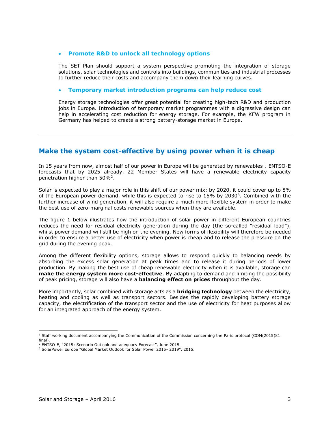#### **Promote R&D to unlock all technology options**

The SET Plan should support a system perspective promoting the integration of storage solutions, solar technologies and controls into buildings, communities and industrial processes to further reduce their costs and accompany them down their learning curves.

#### **Temporary market introduction programs can help reduce cost**

Energy storage technologies offer great potential for creating high-tech R&D and production jobs in Europe. Introduction of temporary market programmes with a digressive design can help in accelerating cost reduction for energy storage. For example, the KFW program in Germany has helped to create a strong battery-storage market in Europe.

# **Make the system cost-effective by using power when it is cheap**

In 15 years from now, almost half of our power in Europe will be generated by renewables<sup>1</sup>. ENTSO-E forecasts that by 2025 already, 22 Member States will have a renewable electricity capacity penetration higher than  $50\%^2$ .

Solar is expected to play a major role in this shift of our power mix: by 2020, it could cover up to 8% of the European power demand, while this is expected to rise to  $15\%$  by  $2030^3$ . Combined with the further increase of wind generation, it will also require a much more flexible system in order to make the best use of zero-marginal costs renewable sources when they are available.

The figure 1 below illustrates how the introduction of solar power in different European countries reduces the need for residual electricity generation during the day (the so-called "residual load"), whilst power demand will still be high on the evening. New forms of flexibility will therefore be needed in order to ensure a better use of electricity when power is cheap and to release the pressure on the grid during the evening peak.

Among the different flexibility options, storage allows to respond quickly to balancing needs by absorbing the excess solar generation at peak times and to release it during periods of lower production. By making the best use of cheap renewable electricity when it is available, storage can **make the energy system more cost-effective**. By adapting to demand and limiting the possibility of peak pricing, storage will also have a **balancing effect on prices** throughout the day.

More importantly, solar combined with storage acts as a **bridging technology** between the electricity, heating and cooling as well as transport sectors. Besides the rapidly developing battery storage capacity, the electrification of the transport sector and the use of electricity for heat purposes allow for an integrated approach of the energy system.

ł

<sup>&</sup>lt;sup>1</sup> Staff working document accompanying the Communication of the Commission concerning the Paris protocol (COM(2015)81 final).

<sup>2</sup> ENTSO-E, "2015: Scenario Outlook and adequacy Forecast", June 2015.

<sup>3</sup> SolarPower Europe "Global Market Outlook for Solar Power 2015- 2019", 2015.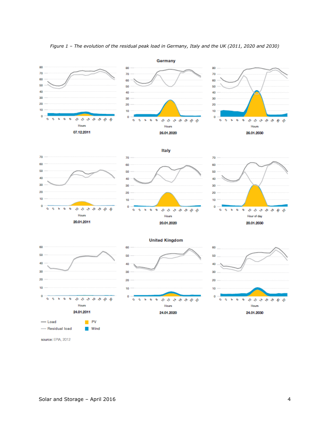

*Figure 1 – The evolution of the residual peak load in Germany, Italy and the UK (2011, 2020 and 2030)*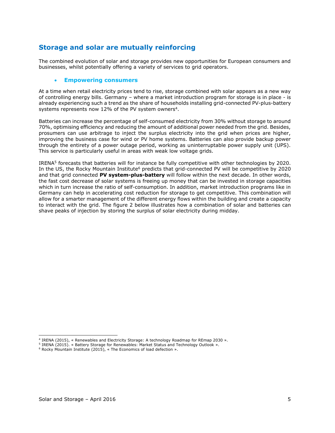# **Storage and solar are mutually reinforcing**

The combined evolution of solar and storage provides new opportunities for European consumers and businesses, whilst potentially offering a variety of services to grid operators.

#### **Empowering consumers**

At a time when retail electricity prices tend to rise, storage combined with solar appears as a new way of controlling energy bills. Germany – where a market introduction program for storage is in place - is already experiencing such a trend as the share of households installing grid-connected PV-plus-battery systems represents now 12% of the PV system owners<sup>4</sup>.

Batteries can increase the percentage of self-consumed electricity from 30% without storage to around 70%, optimising efficiency and reducing the amount of additional power needed from the grid. Besides, prosumers can use arbitrage to inject the surplus electricity into the grid when prices are higher, improving the business case for wind or PV home systems. Batteries can also provide backup power through the entirety of a power outage period, working as uninterruptable power supply unit (UPS). This service is particularly useful in areas with weak low voltage grids.

IRENA<sup>5</sup> forecasts that batteries will for instance be fully competitive with other technologies by 2020. In the US, the Rocky Mountain Institute<sup>6</sup> predicts that grid-connected PV will be competitive by 2020 and that grid connected **PV system-plus-battery** will follow within the next decade. In other words, the fast cost decrease of solar systems is freeing up money that can be invested in storage capacities which in turn increase the ratio of self-consumption. In addition, market introduction programs like in Germany can help in accelerating cost reduction for storage to get competitive. This combination will allow for a smarter management of the different energy flows within the building and create a capacity to interact with the grid. The figure 2 below illustrates how a combination of solar and batteries can shave peaks of injection by storing the surplus of solar electricity during midday.

 4 IRENA (2015), « Renewables and Electricity Storage: A technology Roadmap for REmap 2030 ».

<sup>&</sup>lt;sup>5</sup> IRENA (2015). « Battery Storage for Renewables: Market Status and Technology Outlook ».

<sup>6</sup> Rocky Mountain Institute (2015), « The Economics of load defection ».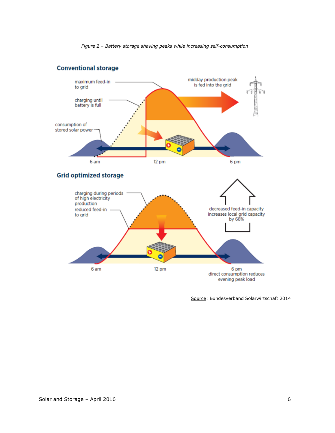*Figure 2 – Battery storage shaving peaks while increasing self-consumption*

# **Conventional storage**



Source: Bundesverband Solarwirtschaft 2014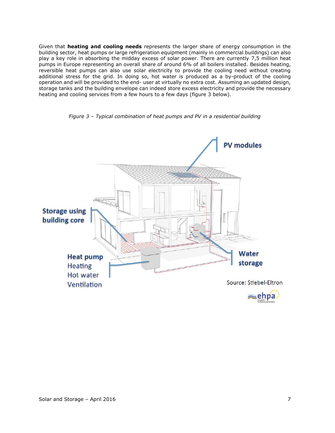Given that **heating and cooling needs** represents the larger share of energy consumption in the building sector, heat pumps or large refrigeration equipment (mainly in commercial buildings) can also play a key role in absorbing the midday excess of solar power. There are currently 7,5 million heat pumps in Europe representing an overall share of around 6% of all boilers installed. Besides heating, reversible heat pumps can also use solar electricity to provide the cooling need without creating additional stress for the grid. In doing so, hot water is produced as a by-product of the cooling operation and will be provided to the end- user at virtually no extra cost. Assuming an updated design, storage tanks and the building envelope can indeed store excess electricity and provide the necessary heating and cooling services from a few hours to a few days (figure 3 below).



*Figure 3 – Typical combination of heat pumps and PV in a residential building*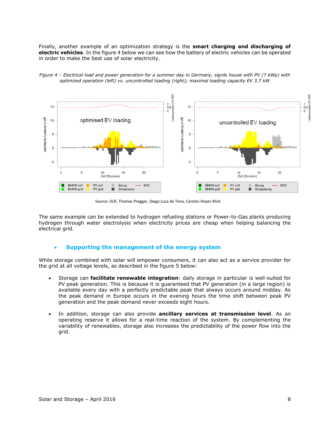Finally, another example of an optimization strategy is the **smart charging and discharging of electric vehicles**. In the figure 4 below we can see how the battery of electric vehicles can be operated in order to make the best use of solar electricity.





Source: DLR, Thomas Pregger, Diego Luca de Tena, Carsten Hoyer-Klick

The same example can be extended to hydrogen refueling stations or Power-to-Gas plants producing hydrogen through water electrolysis when electricity prices are cheap when helping balancing the electrical grid.

### **Supporting the management of the energy system**

While storage combined with solar will empower consumers, it can also act as a service provider for the grid at all voltage levels, as described in the figure 5 below:

- Storage can **facilitate renewable integration**: daily storage in particular is well-suited for PV peak generation. This is because it is guaranteed that PV generation (in a large region) is available every day with a perfectly predictable peak that always occurs around midday. As the peak demand in Europe occurs in the evening hours the time shift between peak PV generation and the peak demand never exceeds eight hours.
- In addition, storage can also provide **ancillary services at transmission level**. As an operating reserve it allows for a real-time reaction of the system. By complementing the variability of renewables, storage also increases the predictability of the power flow into the grid.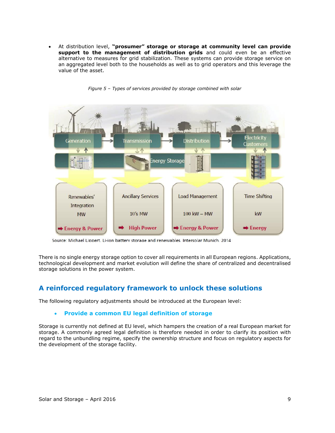At distribution level, **"prosumer" storage or storage at community level can provide support to the management of distribution grids** and could even be an effective alternative to measures for grid stabilization. These systems can provide storage service on an aggregated level both to the households as well as to grid operators and this leverage the value of the asset.



*Figure 5 – Types of services provided by storage combined with solar*

Source: Michael Lippert, Li-ion battery storage and renewables. Intersolar Munich, 2014

There is no single energy storage option to cover all requirements in all European regions. Applications, technological development and market evolution will define the share of centralized and decentralised storage solutions in the power system.

# **A reinforced regulatory framework to unlock these solutions**

The following regulatory adjustments should be introduced at the European level:

## **Provide a common EU legal definition of storage**

Storage is currently not defined at EU level, which hampers the creation of a real European market for storage. A commonly agreed legal definition is therefore needed in order to clarify its position with regard to the unbundling regime, specify the ownership structure and focus on regulatory aspects for the development of the storage facility.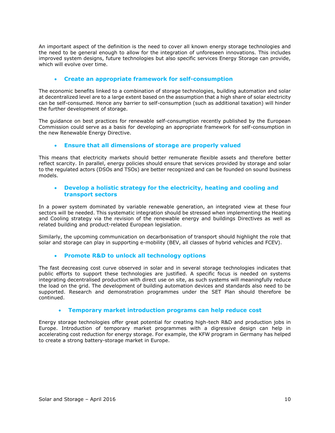An important aspect of the definition is the need to cover all known energy storage technologies and the need to be general enough to allow for the integration of unforeseen innovations. This includes improved system designs, future technologies but also specific services Energy Storage can provide, which will evolve over time.

## **Create an appropriate framework for self-consumption**

The economic benefits linked to a combination of storage technologies, building automation and solar at decentralized level are to a large extent based on the assumption that a high share of solar electricity can be self-consumed. Hence any barrier to self-consumption (such as additional taxation) will hinder the further development of storage.

The guidance on best practices for renewable self-consumption recently published by the European Commission could serve as a basis for developing an appropriate framework for self-consumption in the new Renewable Energy Directive.

### **Ensure that all dimensions of storage are properly valued**

This means that electricity markets should better remunerate flexible assets and therefore better reflect scarcity. In parallel, energy policies should ensure that services provided by storage and solar to the regulated actors (DSOs and TSOs) are better recognized and can be founded on sound business models.

## **Develop a holistic strategy for the electricity, heating and cooling and transport sectors**

In a power system dominated by variable renewable generation, an integrated view at these four sectors will be needed. This systematic integration should be stressed when implementing the Heating and Cooling strategy via the revision of the renewable energy and buildings Directives as well as related building and product-related European legislation.

Similarly, the upcoming communication on decarbonisation of transport should highlight the role that solar and storage can play in supporting e-mobility (BEV, all classes of hybrid vehicles and FCEV).

### **Promote R&D to unlock all technology options**

The fast decreasing cost curve observed in solar and in several storage technologies indicates that public efforts to support these technologies are justified. A specific focus is needed on systems integrating decentralised production with direct use on site, as such systems will meaningfully reduce the load on the grid. The development of building automation devices and standards also need to be supported. Research and demonstration programmes under the SET Plan should therefore be continued.

### **Temporary market introduction programs can help reduce cost**

Energy storage technologies offer great potential for creating high-tech R&D and production jobs in Europe. Introduction of temporary market programmes with a digressive design can help in accelerating cost reduction for energy storage. For example, the KFW program in Germany has helped to create a strong battery-storage market in Europe.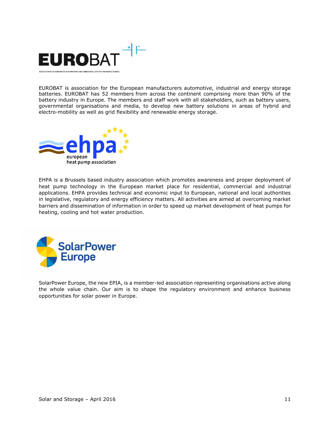

EUROBAT is association for the European manufacturers automotive, industrial and energy storage batteries. EUROBAT has 52 members from across the continent comprising more than 90% of the battery industry in Europe. The members and staff work with all stakeholders, such as battery users, governmental organisations and media, to develop new battery solutions in areas of hybrid and electro-mobility as well as grid flexibility and renewable energy storage.



EHPA is a Brussels based industry association which promotes awareness and proper deployment of heat pump technology in the European market place for residential, commercial and industrial applications. EHPA provides technical and economic input to European, national and local authorities in legislative, regulatory and energy efficiency matters. All activities are aimed at overcoming market barriers and dissemination of information in order to speed up market development of heat pumps for heating, cooling and hot water production.



SolarPower Europe, the new EPIA, is a member-led association representing organisations active along the whole value chain. Our aim is to shape the regulatory environment and enhance business opportunities for solar power in Europe.